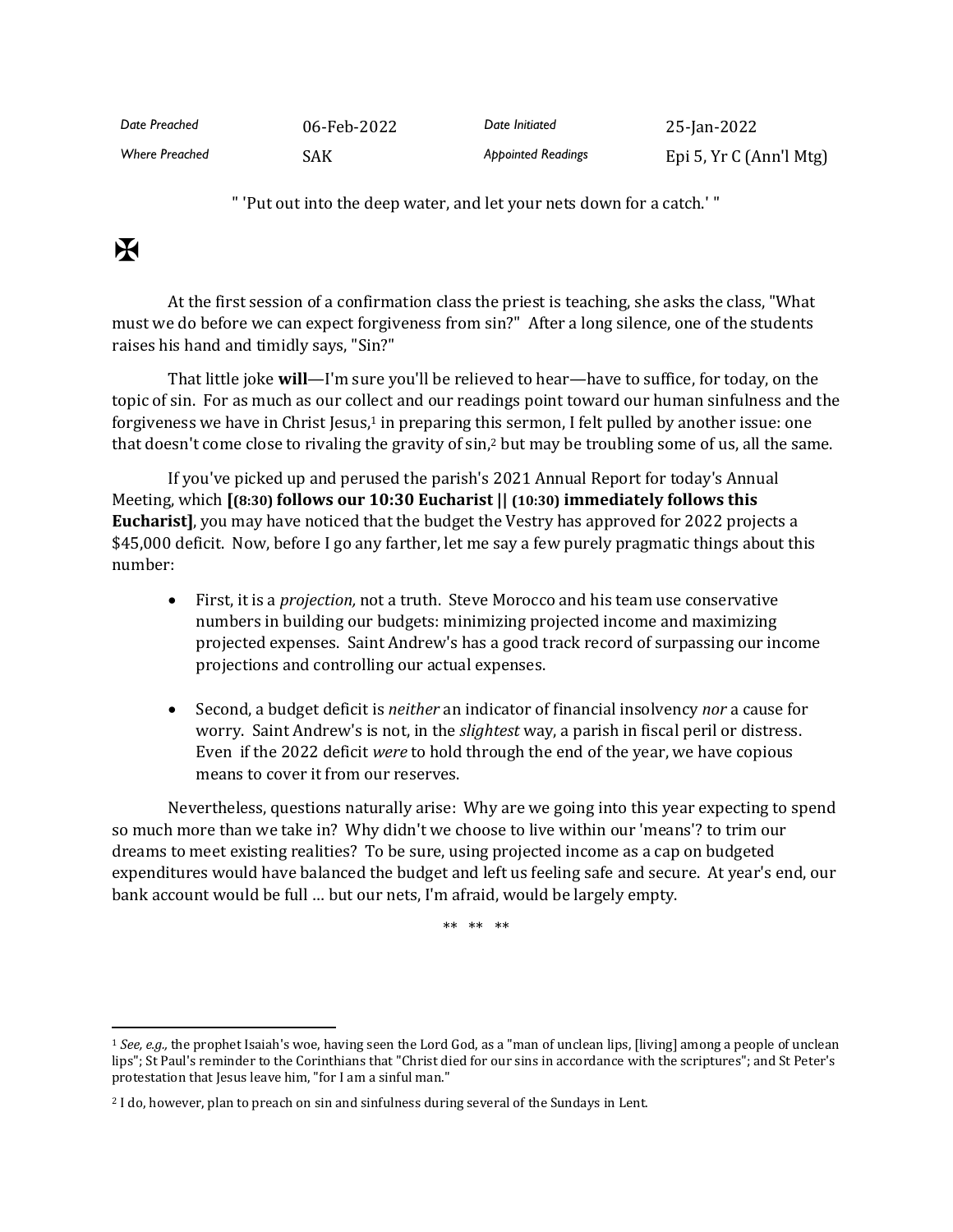| Date Preached         | 06-Feb-2022 | Date Initiated            | 25-Jan-2022             |
|-----------------------|-------------|---------------------------|-------------------------|
| <b>Where Preached</b> | SAK         | <b>Appointed Readings</b> | Epi 5, Yr C (Ann'l Mtg) |

" 'Put out into the deep water, and let your nets down for a catch.' "

## $\mathbf F$

At the first session of a confirmation class the priest is teaching, she asks the class, "What must we do before we can expect forgiveness from sin?" After a long silence, one of the students raises his hand and timidly says, "Sin?"

That little joke **will**—I'm sure you'll be relieved to hear—have to suffice, for today, on the topic of sin. For as much as our collect and our readings point toward our human sinfulness and the forgiveness we have in Christ Jesus,<sup>1</sup> in preparing this sermon, I felt pulled by another issue: one that doesn't come close to rivaling the gravity of sin,<sup>2</sup> but may be troubling some of us, all the same.

If you've picked up and perused the parish's 2021 Annual Report for today's Annual Meeting, which **[(8:30) follows our 10:30 Eucharist || (10:30) immediately follows this Eucharist]**, you may have noticed that the budget the Vestry has approved for 2022 projects a \$45,000 deficit. Now, before I go any farther, let me say a few purely pragmatic things about this number:

- First, it is a *projection,* not a truth. Steve Morocco and his team use conservative numbers in building our budgets: minimizing projected income and maximizing projected expenses. Saint Andrew's has a good track record of surpassing our income projections and controlling our actual expenses.
- Second, a budget deficit is *neither* an indicator of financial insolvency *nor* a cause for worry. Saint Andrew's is not, in the *slightest* way, a parish in fiscal peril or distress. Even if the 2022 deficit *were* to hold through the end of the year, we have copious means to cover it from our reserves.

Nevertheless, questions naturally arise: Why are we going into this year expecting to spend so much more than we take in? Why didn't we choose to live within our 'means'? to trim our dreams to meet existing realities? To be sure, using projected income as a cap on budgeted expenditures would have balanced the budget and left us feeling safe and secure. At year's end, our bank account would be full … but our nets, I'm afraid, would be largely empty.

\*\* \*\* \*\*

<sup>1</sup> *See, e.g.,* the prophet Isaiah's woe, having seen the Lord God, as a "man of unclean lips, [living] among a people of unclean lips"; St Paul's reminder to the Corinthians that "Christ died for our sins in accordance with the scriptures"; and St Peter's protestation that Jesus leave him, "for I am a sinful man."

<sup>2</sup> I do, however, plan to preach on sin and sinfulness during several of the Sundays in Lent.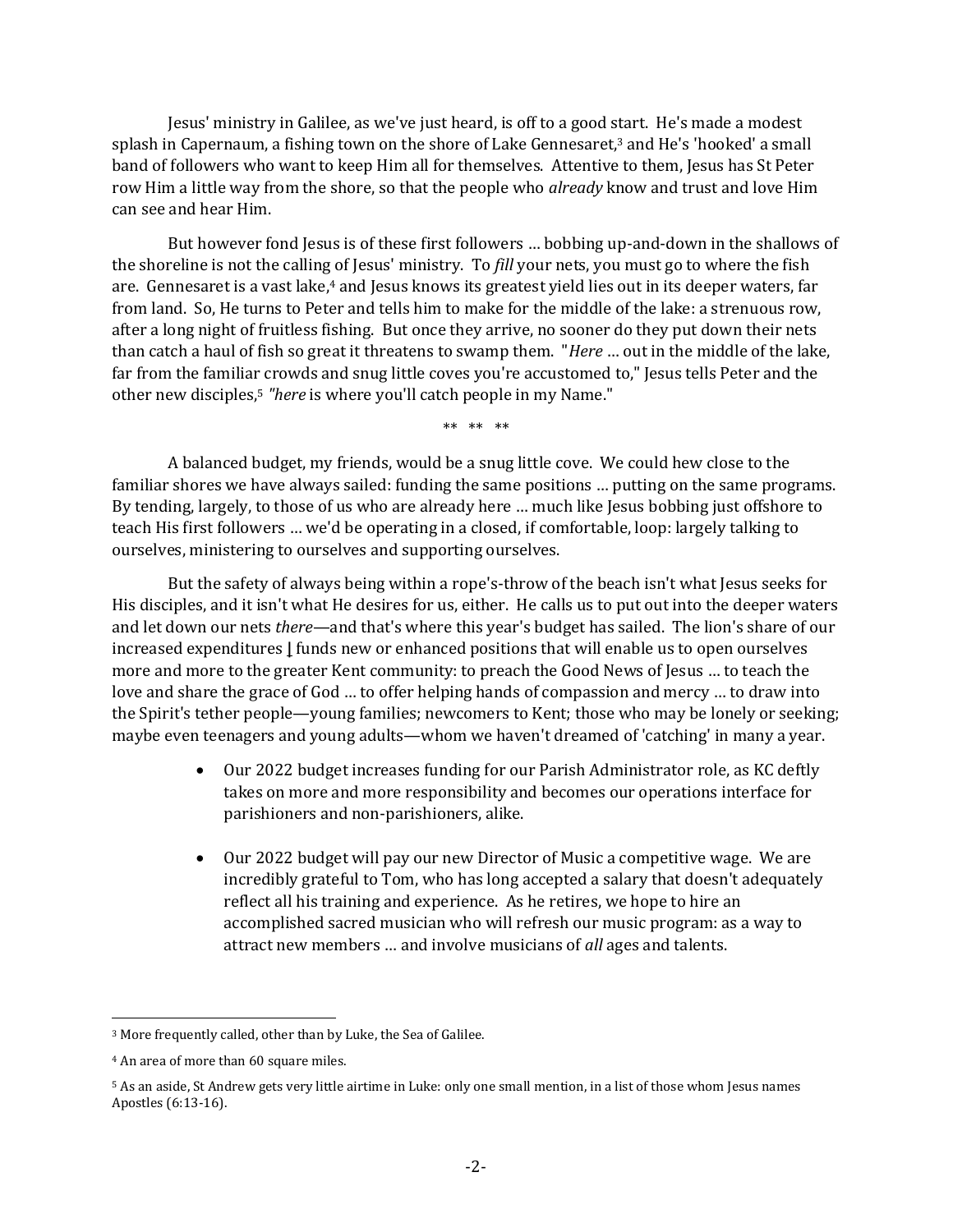Jesus' ministry in Galilee, as we've just heard, is off to a good start. He's made a modest splash in Capernaum, a fishing town on the shore of Lake Gennesaret,<sup>3</sup> and He's 'hooked' a small band of followers who want to keep Him all for themselves. Attentive to them, Jesus has St Peter row Him a little way from the shore, so that the people who *already* know and trust and love Him can see and hear Him.

But however fond Jesus is of these first followers … bobbing up-and-down in the shallows of the shoreline is not the calling of Jesus' ministry. To *fill* your nets, you must go to where the fish are. Gennesaret is a vast lake,<sup>4</sup> and Jesus knows its greatest yield lies out in its deeper waters, far from land. So, He turns to Peter and tells him to make for the middle of the lake: a strenuous row, after a long night of fruitless fishing. But once they arrive, no sooner do they put down their nets than catch a haul of fish so great it threatens to swamp them. "*Here* … out in the middle of the lake, far from the familiar crowds and snug little coves you're accustomed to," Jesus tells Peter and the other new disciples,<sup>5</sup> *"here* is where you'll catch people in my Name."

\*\* \*\* \*\*

A balanced budget, my friends, would be a snug little cove. We could hew close to the familiar shores we have always sailed: funding the same positions … putting on the same programs. By tending, largely, to those of us who are already here ... much like Jesus bobbing just offshore to teach His first followers … we'd be operating in a closed, if comfortable, loop: largely talking to ourselves, ministering to ourselves and supporting ourselves.

But the safety of always being within a rope's-throw of the beach isn't what Jesus seeks for His disciples, and it isn't what He desires for us, either. He calls us to put out into the deeper waters and let down our nets *there*—and that's where this year's budget has sailed. The lion's share of our increased expenditures **|** funds new or enhanced positions that will enable us to open ourselves more and more to the greater Kent community: to preach the Good News of Jesus … to teach the love and share the grace of God … to offer helping hands of compassion and mercy … to draw into the Spirit's tether people—young families; newcomers to Kent; those who may be lonely or seeking; maybe even teenagers and young adults—whom we haven't dreamed of 'catching' in many a year.

- Our 2022 budget increases funding for our Parish Administrator role, as KC deftly takes on more and more responsibility and becomes our operations interface for parishioners and non-parishioners, alike.
- Our 2022 budget will pay our new Director of Music a competitive wage. We are incredibly grateful to Tom, who has long accepted a salary that doesn't adequately reflect all his training and experience. As he retires, we hope to hire an accomplished sacred musician who will refresh our music program: as a way to attract new members … and involve musicians of *all* ages and talents.

<sup>3</sup> More frequently called, other than by Luke, the Sea of Galilee.

<sup>4</sup> An area of more than 60 square miles.

<sup>5</sup> As an aside, St Andrew gets very little airtime in Luke: only one small mention, in a list of those whom Jesus names Apostles (6:13-16).